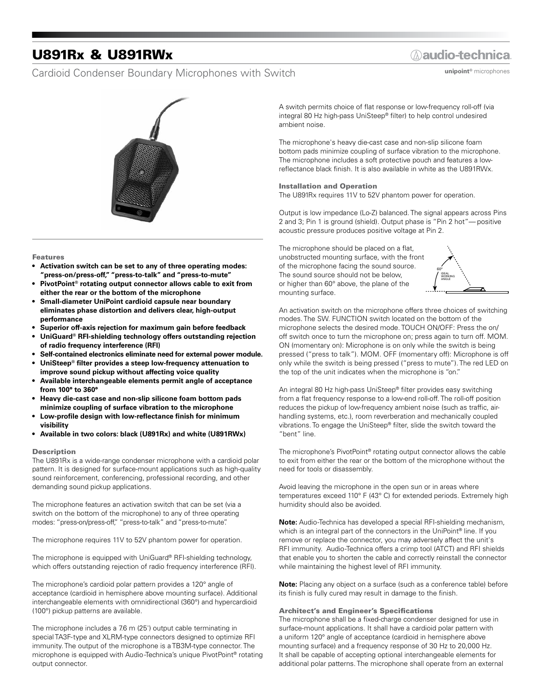## U891Rx & U891RWx

### Cardioid Condenser Boundary Microphones with Switch

### **Aaudio-technica**

**unipoint®** microphones



#### Features

- **• Activation switch can be set to any of three operating modes: "press-on/press-off," "press-to-talk" and "press-to-mute"**
- **• PivotPoint® rotating output connector allows cable to exit from either the rear or the bottom of the microphone**
- **• Small-diameter UniPoint cardioid capsule near boundary eliminates phase distortion and delivers clear, high-output performance**
- **• Superior off-axis rejection for maximum gain before feedback**
- **• UniGuard® RFI-shielding technology offers outstanding rejection of radio frequency interference (RFI)**
- **• Self-contained electronics eliminate need for external power module.**
- **• UniSteep® filter provides a steep low-frequency attenuation to improve sound pickup without affecting voice quality**
- **• Available interchangeable elements permit angle of acceptance from 100° to 360°**
- **• Heavy die-cast case and non-slip silicone foam bottom pads minimize coupling of surface vibration to the microphone**
- **• Low-profile design with low-reflectance finish for minimum visibility**
- **• Available in two colors: black (U891Rx) and white (U891RWx)**

#### Description

The U891Rx is a wide-range condenser microphone with a cardioid polar pattern. It is designed for surface-mount applications such as high-quality sound reinforcement, conferencing, professional recording, and other demanding sound pickup applications.

The microphone features an activation switch that can be set (via a switch on the bottom of the microphone) to any of three operating modes: "press-on/press-off," "press-to-talk" and "press-to-mute".

The microphone requires 11V to 52V phantom power for operation.

The microphone is equipped with UniGuard® RFI-shielding technology, which offers outstanding rejection of radio frequency interference (RFI).

The microphone's cardioid polar pattern provides a 120° angle of acceptance (cardioid in hemisphere above mounting surface). Additional interchangeable elements with omnidirectional (360°) and hypercardioid (100°) pickup patterns are available.

The microphone includes a 7.6 m (25') output cable terminating in special TA3F-type and XLRM-type connectors designed to optimize RFI immunity. The output of the microphone is a TB3M-type connector. The microphone is equipped with Audio-Technica's unique PivotPoint® rotating output connector.

A switch permits choice of flat response or low-frequency roll-off (via integral 80 Hz high-pass UniSteep® filter) to help control undesired ambient noise.

The microphone's heavy die-cast case and non-slip silicone foam bottom pads minimize coupling of surface vibration to the microphone. The microphone includes a soft protective pouch and features a lowreflectance black finish. It is also available in white as the U891RWx.

#### Installation and Operation

The U891Rx requires 11V to 52V phantom power for operation.

Output is low impedance (Lo-Z) balanced. The signal appears across Pins 2 and 3; Pin 1 is ground (shield). Output phase is "Pin 2 hot"— positive acoustic pressure produces positive voltage at Pin 2.

The microphone should be placed on a flat, unobstructed mounting surface, with the front of the microphone facing the sound source. The sound source should not be below, or higher than 60° above, the plane of the mounting surface.



An activation switch on the microphone offers three choices of switching modes. The SW. FUNCTION switch located on the bottom of the microphone selects the desired mode. TOUCH ON/OFF: Press the on/ off switch once to turn the microphone on; press again to turn off. MOM. ON (momentary on): Microphone is on only while the switch is being pressed ("press to talk"). MOM. OFF (momentary off): Microphone is off only while the switch is being pressed ("press to mute"). The red LED on the top of the unit indicates when the microphone is "on."

An integral 80 Hz high-pass UniSteep® filter provides easy switching from a flat frequency response to a low-end roll-off. The roll-off position reduces the pickup of low-frequency ambient noise (such as traffic, airhandling systems, etc.), room reverberation and mechanically coupled vibrations. To engage the UniSteep® filter, slide the switch toward the "bent" line.

The microphone's PivotPoint® rotating output connector allows the cable to exit from either the rear or the bottom of the microphone without the need for tools or disassembly.

Avoid leaving the microphone in the open sun or in areas where temperatures exceed 110° F (43° C) for extended periods. Extremely high humidity should also be avoided.

**Note:** Audio-Technica has developed a special RFI-shielding mechanism, which is an integral part of the connectors in the UniPoint® line. If you remove or replace the connector, you may adversely affect the unit's RFI immunity. Audio-Technica offers a crimp tool (ATCT) and RFI shields that enable you to shorten the cable and correctly reinstall the connector while maintaining the highest level of RFI immunity.

**Note:** Placing any object on a surface (such as a conference table) before its finish is fully cured may result in damage to the finish.

#### Architect's and Engineer's Specifications

The microphone shall be a fixed-charge condenser designed for use in surface-mount applications. It shall have a cardioid polar pattern with a uniform 120° angle of acceptance (cardioid in hemisphere above mounting surface) and a frequency response of 30 Hz to 20,000 Hz. It shall be capable of accepting optional interchangeable elements for additional polar patterns. The microphone shall operate from an external